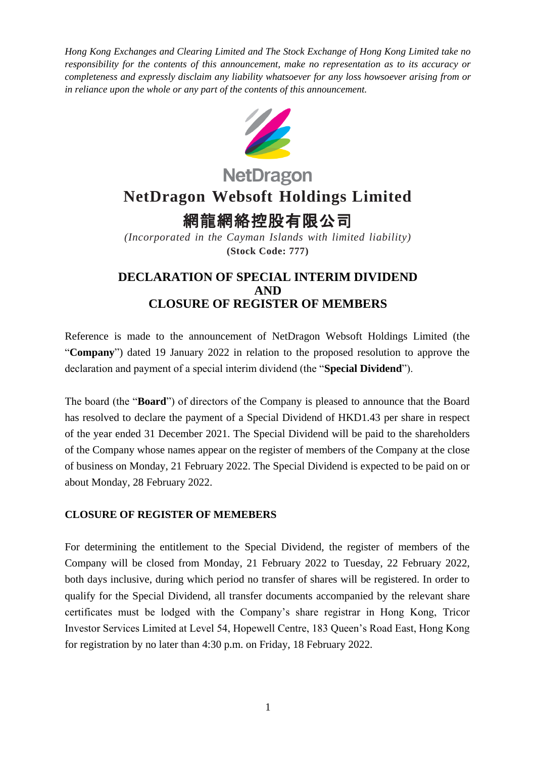*Hong Kong Exchanges and Clearing Limited and The Stock Exchange of Hong Kong Limited take no responsibility for the contents of this announcement, make no representation as to its accuracy or completeness and expressly disclaim any liability whatsoever for any loss howsoever arising from or in reliance upon the whole or any part of the contents of this announcement.*



# **NetDragon NetDragon Websoft Holdings Limited**

## 網龍網絡控股有限公司

*(Incorporated in the Cayman Islands with limited liability)* **(Stock Code: 777)**

### **DECLARATION OF SPECIAL INTERIM DIVIDEND AND CLOSURE OF REGISTER OF MEMBERS**

Reference is made to the announcement of NetDragon Websoft Holdings Limited (the "**Company**") dated 19 January 2022 in relation to the proposed resolution to approve the declaration and payment of a special interim dividend (the "**Special Dividend**").

The board (the "**Board**") of directors of the Company is pleased to announce that the Board has resolved to declare the payment of a Special Dividend of HKD1.43 per share in respect of the year ended 31 December 2021. The Special Dividend will be paid to the shareholders of the Company whose names appear on the register of members of the Company at the close of business on Monday, 21 February 2022. The Special Dividend is expected to be paid on or about Monday, 28 February 2022.

#### **CLOSURE OF REGISTER OF MEMEBERS**

For determining the entitlement to the Special Dividend, the register of members of the Company will be closed from Monday, 21 February 2022 to Tuesday, 22 February 2022, both days inclusive, during which period no transfer of shares will be registered. In order to qualify for the Special Dividend, all transfer documents accompanied by the relevant share certificates must be lodged with the Company's share registrar in Hong Kong, Tricor Investor Services Limited at Level 54, Hopewell Centre, 183 Queen's Road East, Hong Kong for registration by no later than 4:30 p.m. on Friday, 18 February 2022.